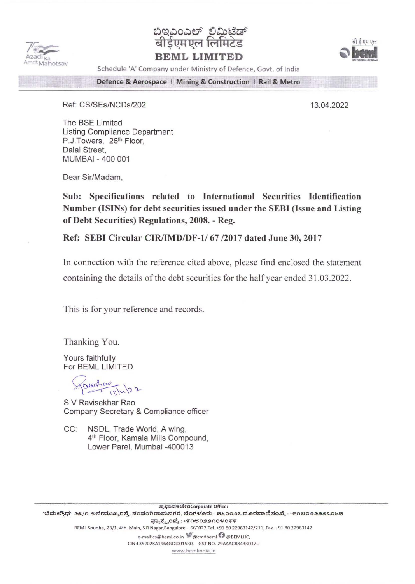



**BEML LIMITED** 



Schedule 'A' Company under Ministry of Defence, Govt. of India

Defence & Aerospace | Mining & Construction | Rail & Metro

Ref: CS/SEs/NCDs/202

13.04.2022

The BSE Limited **Listing Compliance Department** P.J.Towers, 26th Floor, Dalal Street. MUMBAI - 400 001

Dear Sir/Madam,

Sub: Specifications related to International Securities Identification Number (ISINs) for debt securities issued under the SEBI (Issue and Listing of Debt Securities) Regulations, 2008. - Reg.

Ref: SEBI Circular CIR/IMD/DF-1/67/2017 dated June 30, 2017

In connection with the reference cited above, please find enclosed the statement containing the details of the debt securities for the half year ended 31.03.2022.

This is for your reference and records.

Thanking You.

Yours faithfully For BEML LIMITED

Journo 12/4/22

S V Ravisekhar Rao Company Secretary & Compliance officer

 $CC:$ NSDL, Trade World, A wing, 4th Floor, Kamala Mills Compound, Lower Parel, Mumbai -400013

ಪ್ರಧಾನಕಚೇರಿCorporate Office: 'ಬೆಮೆಲ್ಸೌಧ', ೨೩/೧, ೪ನೇಮುಖ್ಯರಸ್ತೆ, ಸಂಪಂಗಿರಾಮನಗರ, ಬೆಂಗಳೂರು - ೫೬೦೦೨೭ ದೂರವಾಣಿಸಂಖ್ಯೆ : +೯೧೮೦೨೨೨೨೩೦೬೫ ಫ್ಯಾಕ್ಸ್ಪಂಖ್ಯೆ : +೯೧೮೦೨೨೧೦೪೦೯೯ BEML Soudha, 23/1, 4th. Main, 5 R Nagar, Bangalore - 560027, Tel. +91 80 22963142/211, Fax. +91 80 22963142 e-mail:cs@beml.co.in @cmdbeml + @BEMLHQ CIN:L35202KA1964GOI001530, GST NO. 29AAACB8433D1ZU www.bemlindia.in